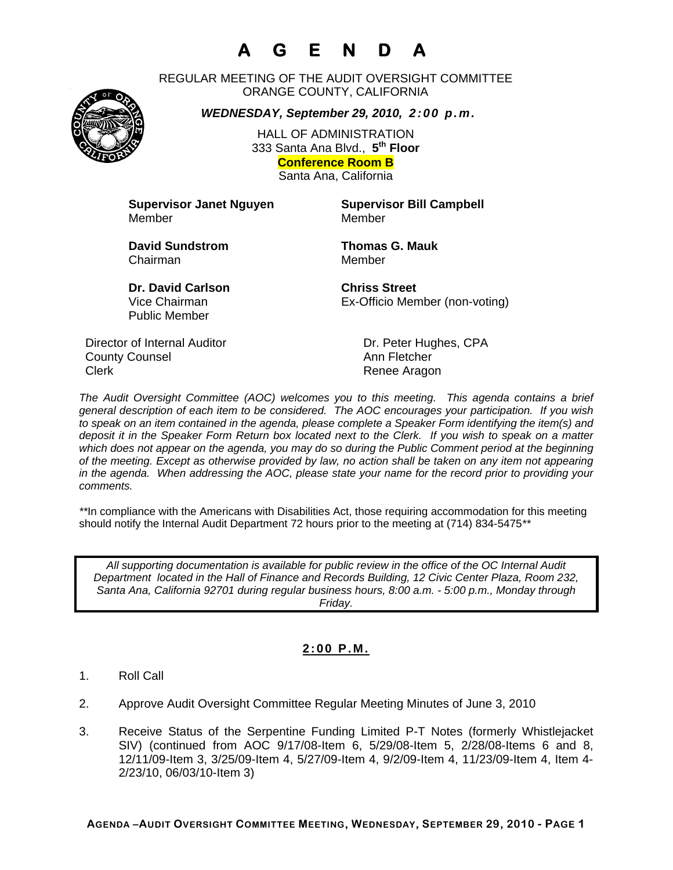# **A G E N D A**

REGULAR MEETING OF THE AUDIT OVERSIGHT COMMITTEE ORANGE COUNTY, CALIFORNIA

*WEDNESDAY, September 29, 2010, 2:00 p.m.*

HALL OF ADMINISTRATION 333 Santa Ana Blvd., **5th Floor Conference Room B**  Santa Ana, California

**Supervisor Janet Nguyen Supervisor Bill Campbell** Member Member

**David Sundstrom Thomas G. Mauk**  Chairman Member

**Dr. David Carlson Chriss Street** Vice Chairman Ex-Officio Member (non-voting)

Director of Internal Auditor Dr. Peter Hughes, CPA **County Counsel Countillist County Counsel Ann Fletcher** Clerk **Clerk** Renee Aragon

Public Member

*The Audit Oversight Committee (AOC) welcomes you to this meeting. This agenda contains a brief general description of each item to be considered. The AOC encourages your participation. If you wish to speak on an item contained in the agenda, please complete a Speaker Form identifying the item(s) and deposit it in the Speaker Form Return box located next to the Clerk. If you wish to speak on a matter which does not appear on the agenda, you may do so during the Public Comment period at the beginning of the meeting. Except as otherwise provided by law, no action shall be taken on any item not appearing in the agenda. When addressing the AOC, please state your name for the record prior to providing your comments.* 

*\*\**In compliance with the Americans with Disabilities Act, those requiring accommodation for this meeting should notify the Internal Audit Department 72 hours prior to the meeting at (714) 834-5475*\*\** 

*All supporting documentation is available for public review in the office of the OC Internal Audit Department located in the Hall of Finance and Records Building, 12 Civic Center Plaza, Room 232, Santa Ana, California 92701 during regular business hours, 8:00 a.m. - 5:00 p.m., Monday through Friday.* 

## **2:00 P.M.**

- 1. Roll Call
- 2. Approve Audit Oversight Committee Regular Meeting Minutes of June 3, 2010
- 3. Receive Status of the Serpentine Funding Limited P-T Notes (formerly Whistlejacket SIV) (continued from AOC 9/17/08-Item 6, 5/29/08-Item 5, 2/28/08-Items 6 and 8, 12/11/09-Item 3, 3/25/09-Item 4, 5/27/09-Item 4, 9/2/09-Item 4, 11/23/09-Item 4, Item 4- 2/23/10, 06/03/10-Item 3)